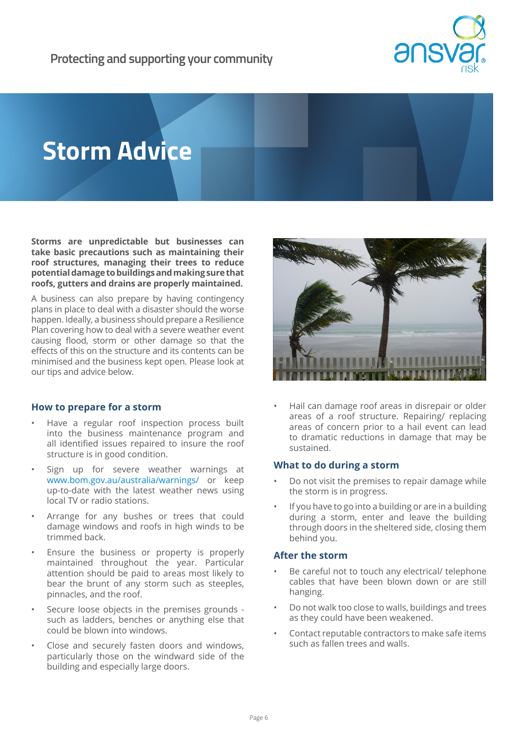

# **Storm Advice**

**Storms are unpredictable but businesses can take basic precautions such as maintaining their roof structures, managing their trees to reduce potential damage to buildings and making sure that roofs, gutters and drains are properly maintained.** 

A business can also prepare by having contingency plans in place to deal with a disaster should the worse happen. Ideally, a business should prepare a Resilience Plan covering how to deal with a severe weather event causing flood, storm or other damage so that the effects of this on the structure and its contents can be minimised and the business kept open. Please look at our tips and advice below.

# **How to prepare for a storm**

- Have a regular roof inspection process built into the business maintenance program and all identified issues repaired to insure the roof structure is in good condition.
- Sign up for severe weather warnings at www.bom.gov.au/australia/warnings/ or keep up-to-date with the latest weather news using local TV or radio stations.
- Arrange for any bushes or trees that could damage windows and roofs in high winds to be trimmed back.
- Ensure the business or property is properly maintained throughout the year. Particular attention should be paid to areas most likely to bear the brunt of any storm such as steeples, pinnacles, and the roof.
- Secure loose objects in the premises grounds such as ladders, benches or anything else that could be blown into windows.
- Close and securely fasten doors and windows, particularly those on the windward side of the building and especially large doors.



• Hail can damage roof areas in disrepair or older areas of a roof structure. Repairing/ replacing areas of concern prior to a hail event can lead to dramatic reductions in damage that may be sustained.

# **What to do during a storm**

- Do not visit the premises to repair damage while the storm is in progress.
- If you have to go into a building or are in a building during a storm, enter and leave the building through doors in the sheltered side, closing them behind you.

# **After the storm**

- Be careful not to touch any electrical/ telephone cables that have been blown down or are still hanging.
- Do not walk too close to walls, buildings and trees as they could have been weakened.
- Contact reputable contractors to make safe items such as fallen trees and walls.